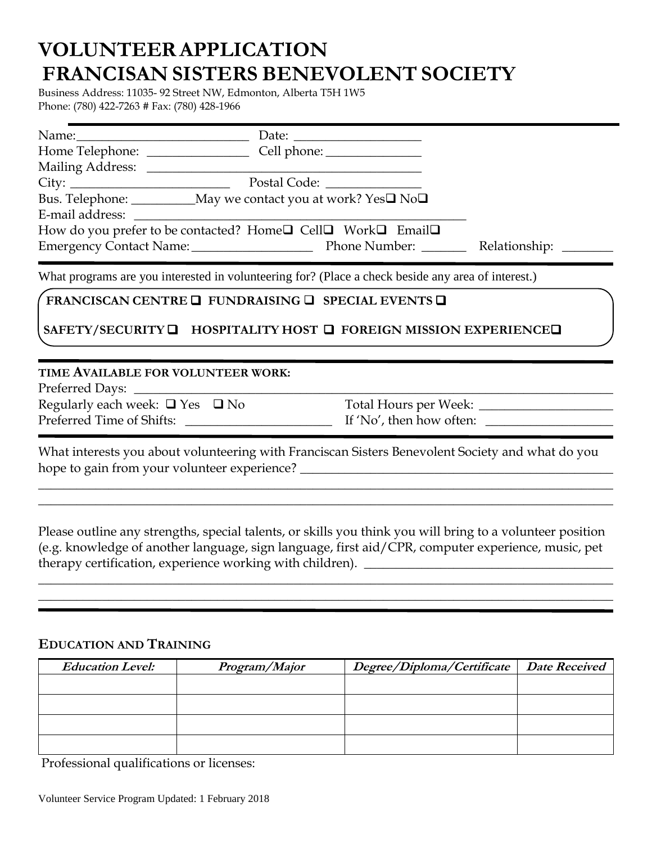# **VOLUNTEERAPPLICATION FRANCISAN SISTERS BENEVOLENT SOCIETY**

Business Address: 11035- 92 Street NW, Edmonton, Alberta T5H 1W5 Phone: (780) 422-7263 # Fax: (780) 428-1966

| Bus. Telephone: ___________May we contact you at work? Yes□ No□                                    |  |  |                                                                                                  |  |
|----------------------------------------------------------------------------------------------------|--|--|--------------------------------------------------------------------------------------------------|--|
| E-mail address:                                                                                    |  |  |                                                                                                  |  |
| How do you prefer to be contacted? Home□ Cell□ Work□ Email□                                        |  |  |                                                                                                  |  |
|                                                                                                    |  |  |                                                                                                  |  |
| What programs are you interested in volunteering for? (Place a check beside any area of interest.) |  |  |                                                                                                  |  |
| FRANCISCAN CENTRE <b>Q</b> FUNDRAISING <b>Q</b> SPECIAL EVENTS <b>Q</b>                            |  |  |                                                                                                  |  |
| SAFETY/SECURITY □ HOSPITALITY HOST □ FOREIGN MISSION EXPERIENCE□                                   |  |  |                                                                                                  |  |
| TIME AVAILABLE FOR VOLUNTEER WORK:                                                                 |  |  |                                                                                                  |  |
|                                                                                                    |  |  |                                                                                                  |  |
| Regularly each week: $\Box$ Yes $\Box$ No                                                          |  |  |                                                                                                  |  |
|                                                                                                    |  |  | If 'No', then how often: $\frac{1}{2}$                                                           |  |
| hope to gain from your volunteer experience?                                                       |  |  | What interests you about volunteering with Franciscan Sisters Benevolent Society and what do you |  |

Please outline any strengths, special talents, or skills you think you will bring to a volunteer position (e.g. knowledge of another language, sign language, first aid/CPR, computer experience, music, pet therapy certification, experience working with children). \_\_\_\_\_\_\_\_\_\_\_\_\_\_\_\_\_\_\_\_\_\_\_\_\_\_\_\_\_\_\_\_\_\_\_\_\_\_\_

\_\_\_\_\_\_\_\_\_\_\_\_\_\_\_\_\_\_\_\_\_\_\_\_\_\_\_\_\_\_\_\_\_\_\_\_\_\_\_\_\_\_\_\_\_\_\_\_\_\_\_\_\_\_\_\_\_\_\_\_\_\_\_\_\_\_\_\_\_\_\_\_\_\_\_\_\_\_\_\_\_\_\_\_\_\_\_\_\_\_ \_\_\_\_\_\_\_\_\_\_\_\_\_\_\_\_\_\_\_\_\_\_\_\_\_\_\_\_\_\_\_\_\_\_\_\_\_\_\_\_\_\_\_\_\_\_\_\_\_\_\_\_\_\_\_\_\_\_\_\_\_\_\_\_\_\_\_\_\_\_\_\_\_\_\_\_\_\_\_\_\_\_\_\_\_\_\_\_\_\_

\_\_\_\_\_\_\_\_\_\_\_\_\_\_\_\_\_\_\_\_\_\_\_\_\_\_\_\_\_\_\_\_\_\_\_\_\_\_\_\_\_\_\_\_\_\_\_\_\_\_\_\_\_\_\_\_\_\_\_\_\_\_\_\_\_\_\_\_\_\_\_\_\_\_\_\_\_\_\_\_\_\_\_\_\_\_\_\_\_\_ \_\_\_\_\_\_\_\_\_\_\_\_\_\_\_\_\_\_\_\_\_\_\_\_\_\_\_\_\_\_\_\_\_\_\_\_\_\_\_\_\_\_\_\_\_\_\_\_\_\_\_\_\_\_\_\_\_\_\_\_\_\_\_\_\_\_\_\_\_\_\_\_\_\_\_\_\_\_\_\_\_\_\_\_\_\_\_\_\_\_

## **EDUCATION AND TRAINING**

| <b>Education Level:</b> | Program/Major | Degree/Diploma/Certificate | <b>Date Received</b> |
|-------------------------|---------------|----------------------------|----------------------|
|                         |               |                            |                      |
|                         |               |                            |                      |
|                         |               |                            |                      |
|                         |               |                            |                      |

Professional qualifications or licenses: